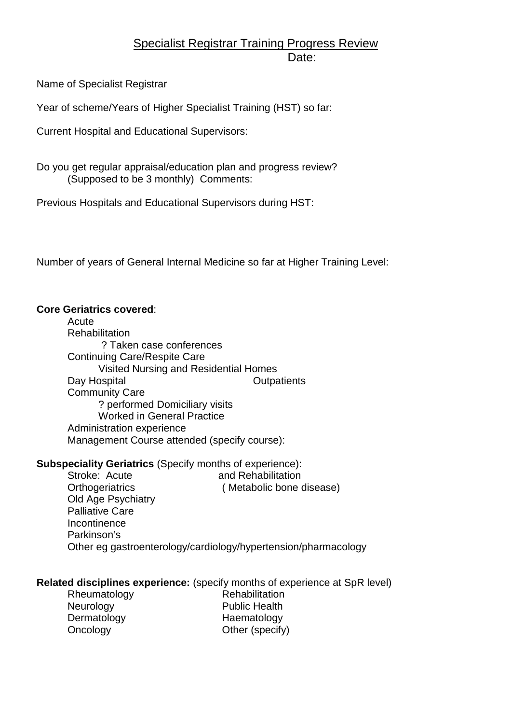# Specialist Registrar Training Progress Review Date:

Name of Specialist Registrar

Year of scheme/Years of Higher Specialist Training (HST) so far:

Current Hospital and Educational Supervisors:

Do you get regular appraisal/education plan and progress review? (Supposed to be 3 monthly) Comments:

Previous Hospitals and Educational Supervisors during HST:

Number of years of General Internal Medicine so far at Higher Training Level:

#### **Core Geriatrics covered**:

**Acute Rehabilitation**  ? Taken case conferences Continuing Care/Respite Care Visited Nursing and Residential Homes Day Hospital **Day Hospital** Day **Day** Associations of Dutpatients Community Care ? performed Domiciliary visits Worked in General Practice Administration experience Management Course attended (specify course):

### **Subspeciality Geriatrics** (Specify months of experience):

Stroke: Acute and Rehabilitation Orthogeriatrics ( Metabolic bone disease) Old Age Psychiatry Palliative Care **Incontinence**  Parkinson's Other eg gastroenterology/cardiology/hypertension/pharmacology

# **Related disciplines experience:** (specify months of experience at SpR level)

Rheumatology Rehabilitation Neurology Public Health Dermatology Haematology Oncology **Other (specify)**